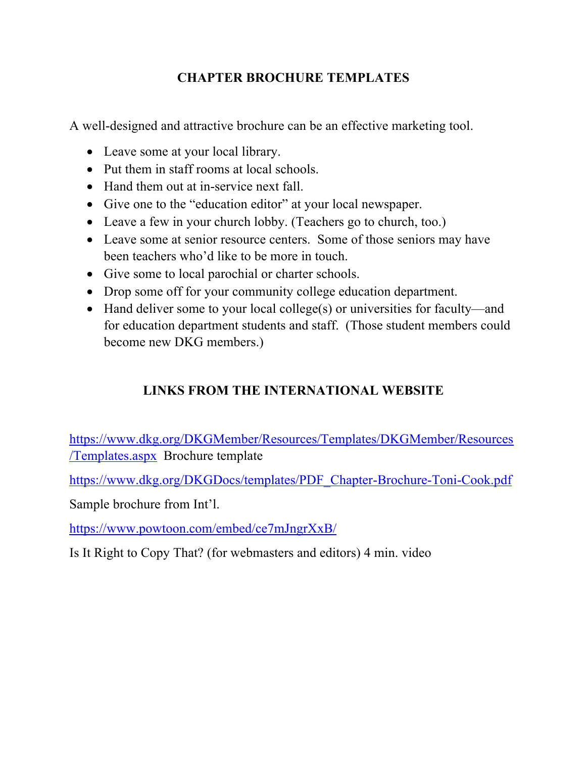## **CHAPTER BROCHURE TEMPLATES**

A well-designed and attractive brochure can be an effective marketing tool.

- Leave some at your local library.
- Put them in staff rooms at local schools.
- Hand them out at in-service next fall.
- Give one to the "education editor" at your local newspaper.
- Leave a few in your church lobby. (Teachers go to church, too.)
- Leave some at senior resource centers. Some of those seniors may have been teachers who'd like to be more in touch.
- Give some to local parochial or charter schools.
- Drop some off for your community college education department.
- Hand deliver some to your local college(s) or universities for faculty—and for education department students and staff. (Those student members could become new DKG members.)

# **LINKS FROM THE INTERNATIONAL WEBSITE**

https://www.dkg.org/DKGMember/Resources/Templates/DKGMember/Resources /Templates.aspx Brochure template

https://www.dkg.org/DKGDocs/templates/PDF\_Chapter-Brochure-Toni-Cook.pdf

Sample brochure from Int'l.

https://www.powtoon.com/embed/ce7mJngrXxB/

Is It Right to Copy That? (for webmasters and editors) 4 min. video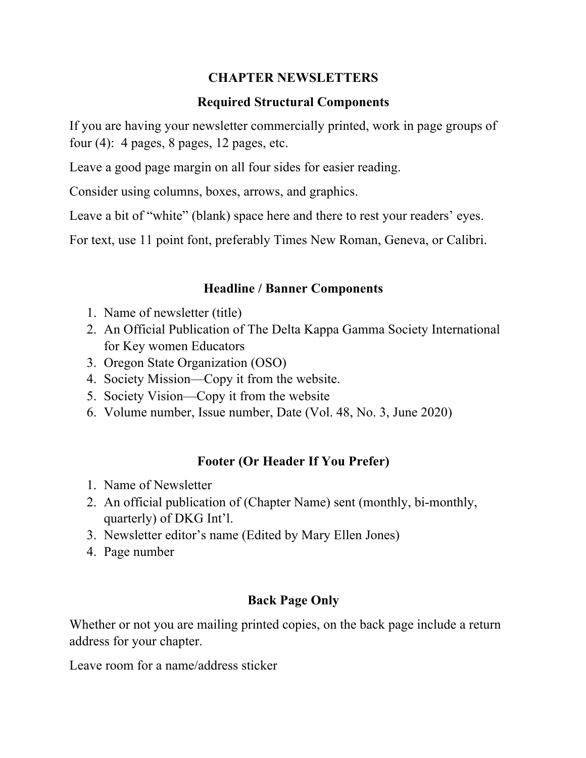### **CHAPTER NEWSLETTERS**

#### **Required Structural Components**

If you are having your newsletter commercially printed, work in page groups of four  $(4)$ : 4 pages, 8 pages, 12 pages, etc.

Leave a good page margin on all four sides for easier reading.

Consider using columns, boxes, arrows, and graphics.

Leave a bit of "white" (blank) space here and there to rest your readers' eyes.

For text, use 11 point font, preferably Times New Roman, Geneva, or Calibri.

### **Headline / Banner Components**

- 1. Name of newsletter (title)
- 2. An Official Publication of The Delta Kappa Gamma Society International for Key women Educators
- 3. Oregon State Organization (OSO)
- 4. Society Mission—Copy it from the website.
- 5. Society Vision—Copy it from the website
- 6. Volume number, Issue number, Date (Vol. 48, No. 3, June 2020)

## **Footer (Or Header If You Prefer)**

- 1. Name of Newsletter
- 2. An official publication of (Chapter Name) sent (monthly, bi-monthly, quarterly) of DKG Int'l.
- 3. Newsletter editor's name (Edited by Mary Ellen Jones)
- 4. Page number

#### **Back Page Only**

Whether or not you are mailing printed copies, on the back page include a return address for your chapter.

Leave room for a name/address sticker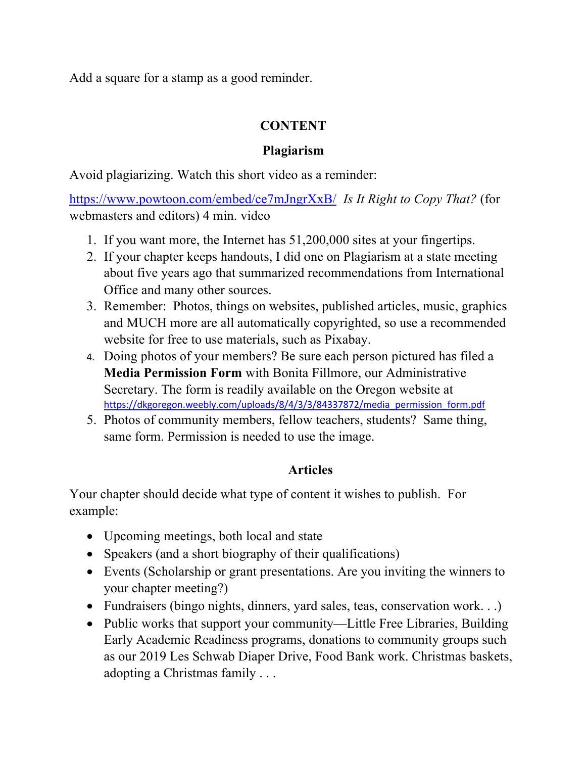Add a square for a stamp as a good reminder.

### **CONTENT**

### **Plagiarism**

Avoid plagiarizing. Watch this short video as a reminder:

https://www.powtoon.com/embed/ce7mJngrXxB/ *Is It Right to Copy That?* (for webmasters and editors) 4 min. video

- 1. If you want more, the Internet has 51,200,000 sites at your fingertips.
- 2. If your chapter keeps handouts, I did one on Plagiarism at a state meeting about five years ago that summarized recommendations from International Office and many other sources.
- 3. Remember: Photos, things on websites, published articles, music, graphics and MUCH more are all automatically copyrighted, so use a recommended website for free to use materials, such as Pixabay.
- 4. Doing photos of your members? Be sure each person pictured has filed a **Media Permission Form** with Bonita Fillmore, our Administrative Secretary. The form is readily available on the Oregon website at https://dkgoregon.weebly.com/uploads/8/4/3/3/84337872/media\_permission\_form.pdf
- 5. Photos of community members, fellow teachers, students? Same thing, same form. Permission is needed to use the image.

# **Articles**

Your chapter should decide what type of content it wishes to publish. For example:

- Upcoming meetings, both local and state
- Speakers (and a short biography of their qualifications)
- Events (Scholarship or grant presentations. Are you inviting the winners to your chapter meeting?)
- Fundraisers (bingo nights, dinners, yard sales, teas, conservation work...)
- Public works that support your community—Little Free Libraries, Building Early Academic Readiness programs, donations to community groups such as our 2019 Les Schwab Diaper Drive, Food Bank work. Christmas baskets, adopting a Christmas family . . .